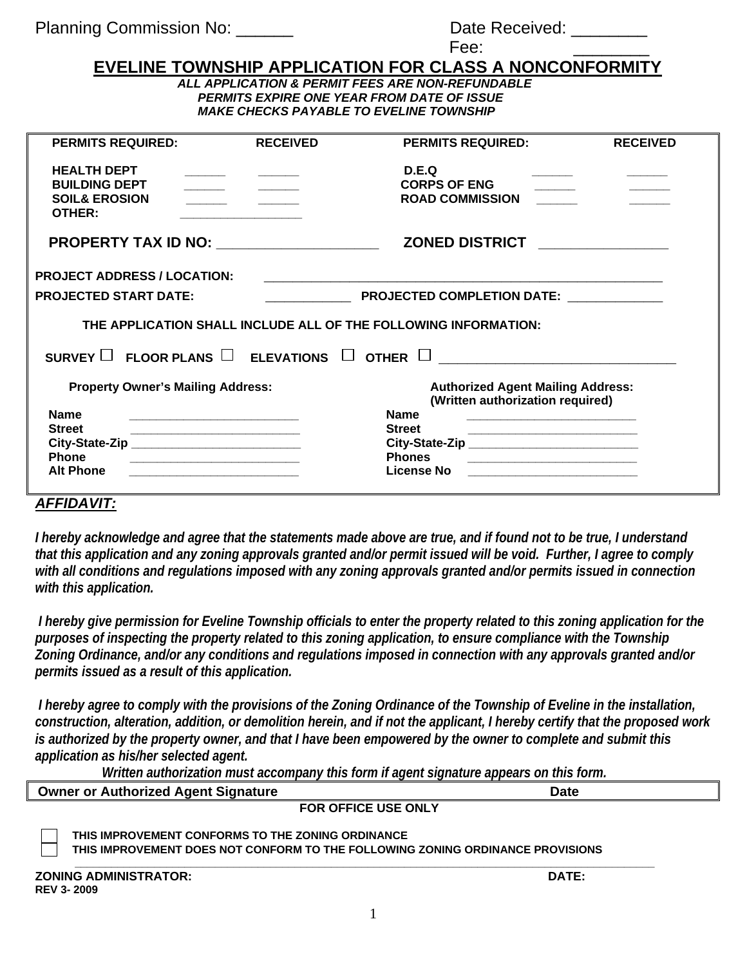| Date Received: |  |
|----------------|--|
|                |  |

| ۰.<br>, ,<br>л.<br>$\sim$<br>$-$ |  |
|----------------------------------|--|
|----------------------------------|--|

## **EVELINE TOWNSHIP APPLICATION FOR CLASS A NONCONFORMI**

*ALL APPLICATION & PERMIT FEES ARE NON-REFUNDABLE PERMITS EXPIRE ONE YEAR FROM DATE OF ISSUE MAKE CHECKS PAYABLE TO EVELINE TOWNSHIP* 

| <b>PERMITS REQUIRED:</b>                                        | <b>RECEIVED</b>                                                                                                       | <b>PERMITS REQUIRED:</b>                                                   | <b>RECEIVED</b> |  |  |
|-----------------------------------------------------------------|-----------------------------------------------------------------------------------------------------------------------|----------------------------------------------------------------------------|-----------------|--|--|
|                                                                 |                                                                                                                       |                                                                            |                 |  |  |
| <b>HEALTH DEPT</b>                                              |                                                                                                                       |                                                                            |                 |  |  |
|                                                                 |                                                                                                                       | D.E.Q                                                                      |                 |  |  |
| <b>BUILDING DEPT</b>                                            |                                                                                                                       | <b>CORPS OF ENG</b>                                                        |                 |  |  |
| <b>SOIL&amp; EROSION</b>                                        |                                                                                                                       | <b>ROAD COMMISSION</b>                                                     |                 |  |  |
| OTHER:                                                          |                                                                                                                       |                                                                            |                 |  |  |
|                                                                 |                                                                                                                       |                                                                            |                 |  |  |
|                                                                 | PROPERTY TAX ID NO: ____________________                                                                              | <b>ZONED DISTRICT</b>                                                      |                 |  |  |
|                                                                 |                                                                                                                       |                                                                            |                 |  |  |
| <b>PROJECT ADDRESS / LOCATION:</b>                              |                                                                                                                       |                                                                            |                 |  |  |
|                                                                 |                                                                                                                       |                                                                            |                 |  |  |
| <b>PROJECTED START DATE:</b>                                    |                                                                                                                       | PROJECTED COMPLETION DATE:                                                 |                 |  |  |
| THE APPLICATION SHALL INCLUDE ALL OF THE FOLLOWING INFORMATION: |                                                                                                                       |                                                                            |                 |  |  |
| SURVEY $\Box$ FLOOR PLANS $\Box$ ELEVATIONS $\Box$ OTHER $\Box$ |                                                                                                                       |                                                                            |                 |  |  |
| <b>Property Owner's Mailing Address:</b>                        |                                                                                                                       | <b>Authorized Agent Mailing Address:</b>                                   |                 |  |  |
|                                                                 |                                                                                                                       | (Written authorization required)                                           |                 |  |  |
| <b>Name</b>                                                     | <u> 1989 - Johann Barbara, martin da kasar Amerikaan kasar dan bahasa dalam kasar dalam kasar dalam kasar dalam </u>  | <b>Name</b><br><u> 1989 - Johann Barbara, martxa al III-lea (h. 1989).</u> |                 |  |  |
| <b>Street</b>                                                   |                                                                                                                       | <b>Street</b>                                                              |                 |  |  |
|                                                                 | <u> 1989 - Johann Harry Harry Harry Harry Harry Harry Harry Harry Harry Harry Harry Harry Harry Harry Harry Harry</u> | City-State-Zip ____________________________                                |                 |  |  |
| <b>Phone</b>                                                    |                                                                                                                       | <b>Phones</b>                                                              |                 |  |  |
| <b>Alt Phone</b>                                                |                                                                                                                       | License No                                                                 |                 |  |  |
|                                                                 |                                                                                                                       |                                                                            |                 |  |  |
|                                                                 |                                                                                                                       |                                                                            |                 |  |  |

## *AFFIDAVIT:*

*I hereby acknowledge and agree that the statements made above are true, and if found not to be true, I understand that this application and any zoning approvals granted and/or permit issued will be void. Further, I agree to comply with all conditions and regulations imposed with any zoning approvals granted and/or permits issued in connection with this application.* 

 *I hereby give permission for Eveline Township officials to enter the property related to this zoning application for the purposes of inspecting the property related to this zoning application, to ensure compliance with the Township Zoning Ordinance, and/or any conditions and regulations imposed in connection with any approvals granted and/or permits issued as a result of this application.* 

 *I hereby agree to comply with the provisions of the Zoning Ordinance of the Township of Eveline in the installation, construction, alteration, addition, or demolition herein, and if not the applicant, I hereby certify that the proposed work is authorized by the property owner, and that I have been empowered by the owner to complete and submit this application as his/her selected agent.* 

 *Written authorization must accompany this form if agent signature appears on this form.* 

| <b>Owner or Authorized Agent Signature</b>                                                                                          | Date  |  |  |  |
|-------------------------------------------------------------------------------------------------------------------------------------|-------|--|--|--|
| <b>FOR OFFICE USE ONLY</b>                                                                                                          |       |  |  |  |
| THIS IMPROVEMENT CONFORMS TO THE ZONING ORDINANCE<br>THIS IMPROVEMENT DOES NOT CONFORM TO THE FOLLOWING ZONING ORDINANCE PROVISIONS |       |  |  |  |
| <b>ZONING ADMINISTRATOR:</b><br><b>REV 3-2009</b>                                                                                   | DATE: |  |  |  |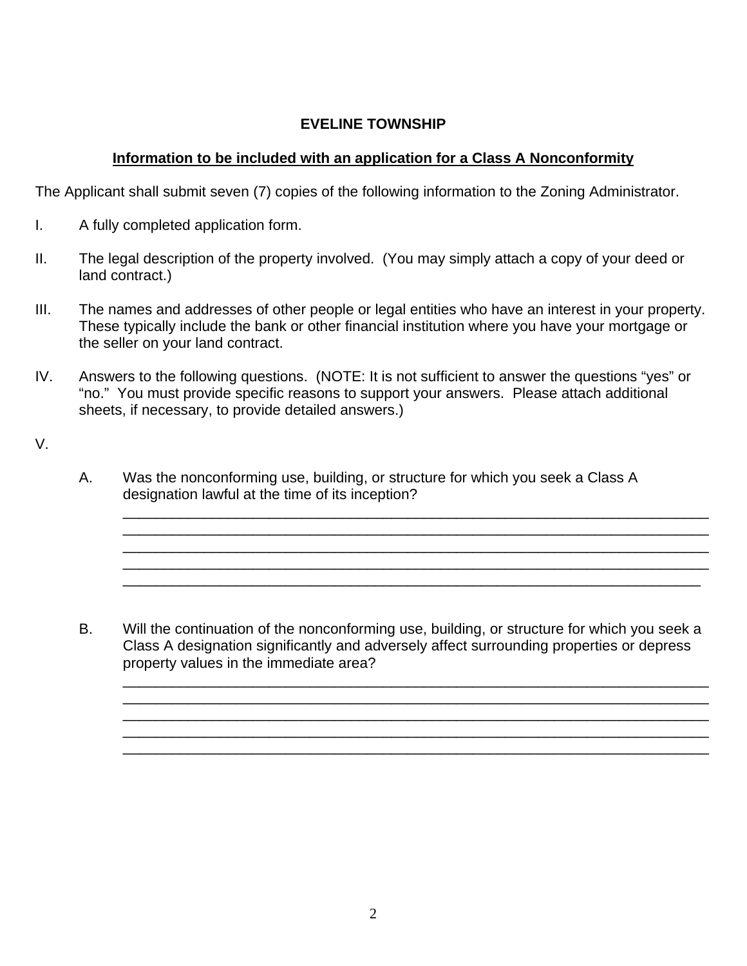## **EVELINE TOWNSHIP**

## **Information to be included with an application for a Class A Nonconformity**

The Applicant shall submit seven (7) copies of the following information to the Zoning Administrator.

- I. A fully completed application form.
- II. The legal description of the property involved. (You may simply attach a copy of your deed or land contract.)
- III. The names and addresses of other people or legal entities who have an interest in your property. These typically include the bank or other financial institution where you have your mortgage or the seller on your land contract.
- IV. Answers to the following questions. (NOTE: It is not sufficient to answer the questions "yes" or "no." You must provide specific reasons to support your answers. Please attach additional sheets, if necessary, to provide detailed answers.)
- V.
- A. Was the nonconforming use, building, or structure for which you seek a Class A designation lawful at the time of its inception?

B. Will the continuation of the nonconforming use, building, or structure for which you seek a Class A designation significantly and adversely affect surrounding properties or depress property values in the immediate area?

\_\_\_\_\_\_\_\_\_\_\_\_\_\_\_\_\_\_\_\_\_\_\_\_\_\_\_\_\_\_\_\_\_\_\_\_\_\_\_\_\_\_\_\_\_\_\_\_\_\_\_\_\_\_\_\_\_\_\_\_\_\_\_\_\_\_\_\_\_\_\_\_

\_\_\_\_\_\_\_\_\_\_\_\_\_\_\_\_\_\_\_\_\_\_\_\_\_\_\_\_\_\_\_\_\_\_\_\_\_\_\_\_\_\_\_\_\_\_\_\_\_\_\_\_\_\_\_\_\_\_\_\_\_\_\_\_\_\_\_\_\_\_\_\_ \_\_\_\_\_\_\_\_\_\_\_\_\_\_\_\_\_\_\_\_\_\_\_\_\_\_\_\_\_\_\_\_\_\_\_\_\_\_\_\_\_\_\_\_\_\_\_\_\_\_\_\_\_\_\_\_\_\_\_\_\_\_\_\_\_\_\_\_\_\_\_\_ \_\_\_\_\_\_\_\_\_\_\_\_\_\_\_\_\_\_\_\_\_\_\_\_\_\_\_\_\_\_\_\_\_\_\_\_\_\_\_\_\_\_\_\_\_\_\_\_\_\_\_\_\_\_\_\_\_\_\_\_\_\_\_\_\_\_\_\_\_\_\_

\_\_\_\_\_\_\_\_\_\_\_\_\_\_\_\_\_\_\_\_\_\_\_\_\_\_\_\_\_\_\_\_\_\_\_\_\_\_\_\_\_\_\_\_\_\_\_\_\_\_\_\_\_\_\_\_\_\_\_\_\_\_\_\_\_\_\_\_\_\_\_\_ \_\_\_\_\_\_\_\_\_\_\_\_\_\_\_\_\_\_\_\_\_\_\_\_\_\_\_\_\_\_\_\_\_\_\_\_\_\_\_\_\_\_\_\_\_\_\_\_\_\_\_\_\_\_\_\_\_\_\_\_\_\_\_\_\_\_\_\_\_\_\_\_ \_\_\_\_\_\_\_\_\_\_\_\_\_\_\_\_\_\_\_\_\_\_\_\_\_\_\_\_\_\_\_\_\_\_\_\_\_\_\_\_\_\_\_\_\_\_\_\_\_\_\_\_\_\_\_\_\_\_\_\_\_\_\_\_\_\_\_\_\_\_\_\_ \_\_\_\_\_\_\_\_\_\_\_\_\_\_\_\_\_\_\_\_\_\_\_\_\_\_\_\_\_\_\_\_\_\_\_\_\_\_\_\_\_\_\_\_\_\_\_\_\_\_\_\_\_\_\_\_\_\_\_\_\_\_\_\_\_\_\_\_\_\_\_\_